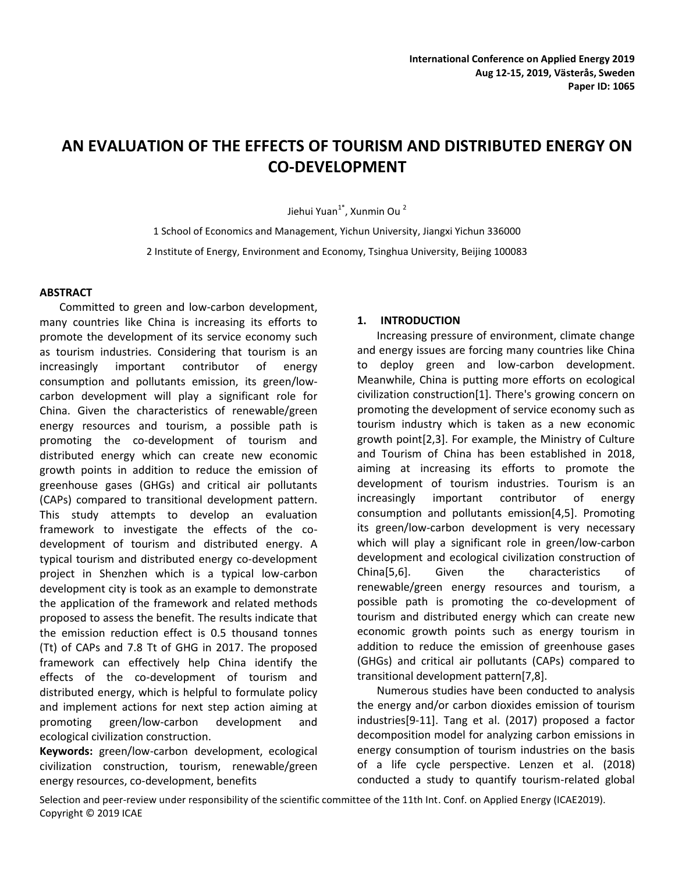# **AN EVALUATION OF THE EFFECTS OF TOURISM AND DISTRIBUTED ENERGY ON CO-DEVELOPMENT**

Jiehui Yuan<sup>1\*</sup>, Xunmin Ou <sup>2</sup>

1 School of Economics and Management, Yichun University, Jiangxi Yichun 336000 2 Institute of Energy, Environment and Economy, Tsinghua University, Beijing 100083

# **ABSTRACT**

Committed to green and low-carbon development, many countries like China is increasing its efforts to promote the development of its service economy such as tourism industries. Considering that tourism is an increasingly important contributor of energy consumption and pollutants emission, its green/lowcarbon development will play a significant role for China. Given the characteristics of renewable/green energy resources and tourism, a possible path is promoting the co-development of tourism and distributed energy which can create new economic growth points in addition to reduce the emission of greenhouse gases (GHGs) and critical air pollutants (CAPs) compared to transitional development pattern. This study attempts to develop an evaluation framework to investigate the effects of the codevelopment of tourism and distributed energy. A typical tourism and distributed energy co-development project in Shenzhen which is a typical low-carbon development city is took as an example to demonstrate the application of the framework and related methods proposed to assess the benefit. The results indicate that the emission reduction effect is 0.5 thousand tonnes (Tt) of CAPs and 7.8 Tt of GHG in 2017. The proposed framework can effectively help China identify the effects of the co-development of tourism and distributed energy, which is helpful to formulate policy and implement actions for next step action aiming at promoting green/low-carbon development and ecological civilization construction.

**Keywords:** green/low-carbon development, ecological civilization construction, tourism, renewable/green energy resources, co-development, benefits

#### **1. INTRODUCTION**

Increasing pressure of environment, climate change and energy issues are forcing many countries like China to deploy green and low-carbon development. Meanwhile, China is putting more efforts on ecological civilization construction[1]. There's growing concern on promoting the development of service economy such as tourism industry which is taken as a new economic growth point[2,3]. For example, the Ministry of Culture and Tourism of China has been established in 2018, aiming at increasing its efforts to promote the development of tourism industries. Tourism is an increasingly important contributor of energy consumption and pollutants emission[4,5]. Promoting its green/low-carbon development is very necessary which will play a significant role in green/low-carbon development and ecological civilization construction of China[5,6]. Given the characteristics of renewable/green energy resources and tourism, a possible path is promoting the co-development of tourism and distributed energy which can create new economic growth points such as energy tourism in addition to reduce the emission of greenhouse gases (GHGs) and critical air pollutants (CAPs) compared to transitional development pattern[7,8].

Numerous studies have been conducted to analysis the energy and/or carbon dioxides emission of tourism industries[9-11]. Tang et al. (2017) proposed a factor decomposition model for analyzing carbon emissions in energy consumption of tourism industries on the basis of a life cycle perspective. Lenzen et al. (2018) conducted a study to quantify tourism-related global

Selection and peer-review under responsibility of the scientific committee of the 11th Int. Conf. on Applied Energy (ICAE2019). Copyright © 2019 ICAE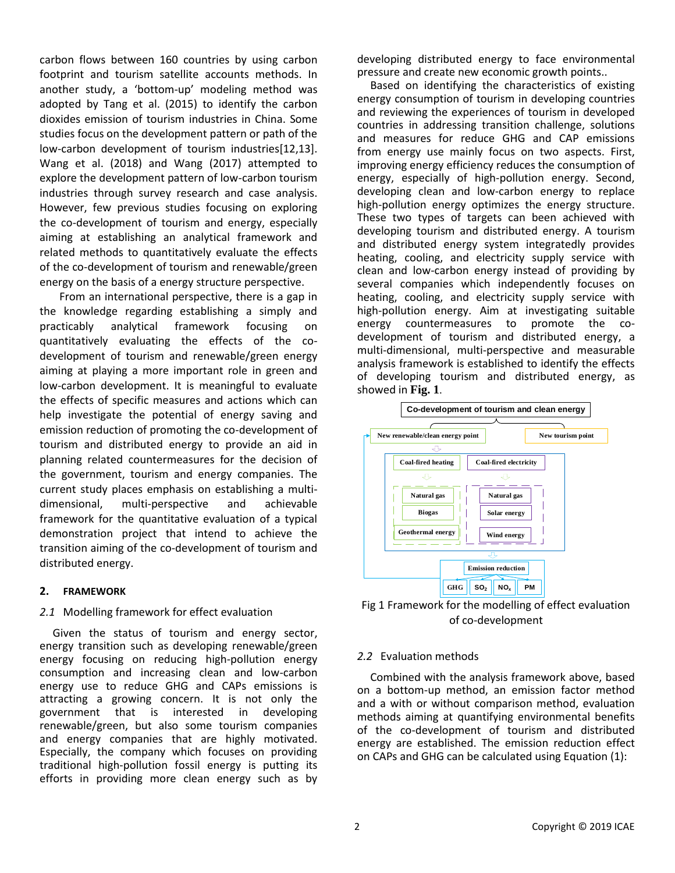carbon flows between 160 countries by using carbon footprint and tourism satellite accounts methods. In another study, a 'bottom-up' modeling method was adopted by Tang et al. (2015) to identify the carbon dioxides emission of tourism industries in China. Some studies focus on the development pattern or path of the low-carbon development of tourism industries[12,13]. Wang et al. (2018) and Wang (2017) attempted to explore the development pattern of low-carbon tourism industries through survey research and case analysis. However, few previous studies focusing on exploring the co-development of tourism and energy, especially aiming at establishing an analytical framework and related methods to quantitatively evaluate the effects of the co-development of tourism and renewable/green energy on the basis of a energy structure perspective.

From an international perspective, there is a gap in the knowledge regarding establishing a simply and practicably analytical framework focusing on quantitatively evaluating the effects of the codevelopment of tourism and renewable/green energy aiming at playing a more important role in green and low-carbon development. It is meaningful to evaluate the effects of specific measures and actions which can help investigate the potential of energy saving and emission reduction of promoting the co-development of tourism and distributed energy to provide an aid in planning related countermeasures for the decision of the government, tourism and energy companies. The current study places emphasis on establishing a multidimensional, multi-perspective and achievable framework for the quantitative evaluation of a typical demonstration project that intend to achieve the transition aiming of the co-development of tourism and distributed energy.

#### **2. FRAMEWORK**

#### *2.1* Modelling framework for effect evaluation

Given the status of tourism and energy sector, energy transition such as developing renewable/green energy focusing on reducing high-pollution energy consumption and increasing clean and low-carbon energy use to reduce GHG and CAPs emissions is attracting a growing concern. It is not only the government that is interested in developing renewable/green, but also some tourism companies and energy companies that are highly motivated. Especially, the company which focuses on providing traditional high-pollution fossil energy is putting its efforts in providing more clean energy such as by

developing distributed energy to face environmental pressure and create new economic growth points..

Based on identifying the characteristics of existing energy consumption of tourism in developing countries and reviewing the experiences of tourism in developed countries in addressing transition challenge, solutions and measures for reduce GHG and CAP emissions from energy use mainly focus on two aspects. First, improving energy efficiency reduces the consumption of energy, especially of high-pollution energy. Second, developing clean and low-carbon energy to replace high-pollution energy optimizes the energy structure. These two types of targets can been achieved with developing tourism and distributed energy. A tourism and distributed energy system integratedly provides heating, cooling, and electricity supply service with clean and low-carbon energy instead of providing by several companies which independently focuses on heating, cooling, and electricity supply service with high-pollution energy. Aim at investigating suitable energy countermeasures to promote the codevelopment of tourism and distributed energy, a multi-dimensional, multi-perspective and measurable analysis framework is established to identify the effects of developing tourism and distributed energy, as showed in **Fig. 1**.



Fig 1 Framework for the modelling of effect evaluation of co-development

# *2.2* Evaluation methods

Combined with the analysis framework above, based on a bottom-up method, an emission factor method and a with or without comparison method, evaluation methods aiming at quantifying environmental benefits of the co-development of tourism and distributed energy are established. The emission reduction effect on CAPs and GHG can be calculated using Equation (1):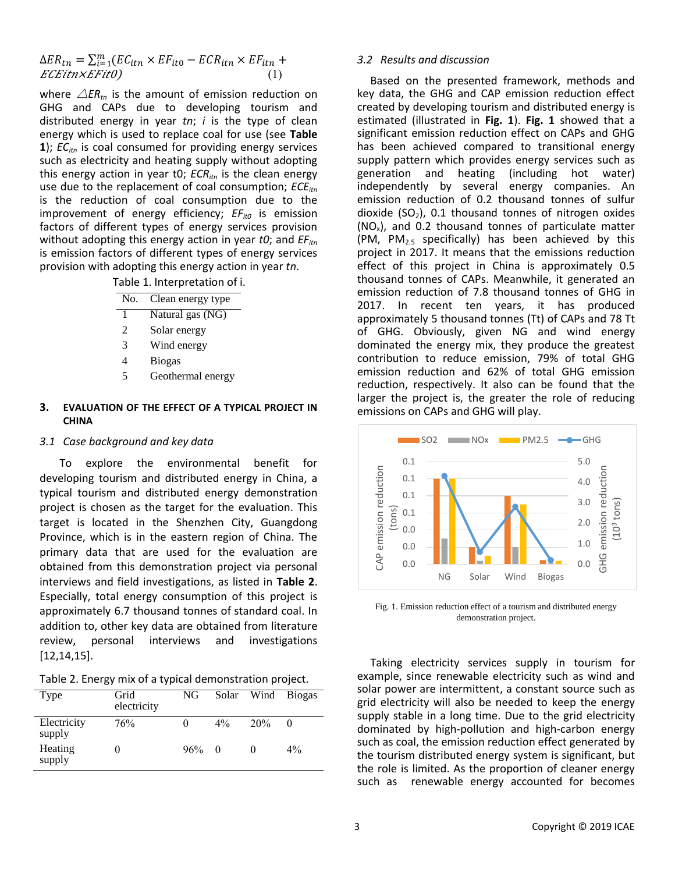$\Delta ER_{tn} = \sum_{i=1}^{m}$  $ECEitnxEFit0$  (1)

where  $\triangle$ *ER*<sub>tn</sub> is the amount of emission reduction on GHG and CAPs due to developing tourism and distributed energy in year *tn*; *i* is the type of clean energy which is used to replace coal for use (see **Table 1**); *EC*<sub>*itn*</sub> is coal consumed for providing energy services such as electricity and heating supply without adopting this energy action in year t0; *ECRitn* is the clean energy use due to the replacement of coal consumption; *ECEitn* is the reduction of coal consumption due to the improvement of energy efficiency;  $EF_{it0}$  is emission factors of different types of energy services provision without adopting this energy action in year *t0*; and *EF*<sub>*itn*</sub> is emission factors of different types of energy services provision with adopting this energy action in year *tn*.

Table 1. Interpretation of i.

| No. | Clean energy type |
|-----|-------------------|
| 1   | Natural gas (NG)  |
| 2   | Solar energy      |
| 3   | Wind energy       |
| 4   | <b>Biogas</b>     |
| 5   | Geothermal energy |
|     |                   |

# **3. EVALUATION OF THE EFFECT OF A TYPICAL PROJECT IN CHINA**

#### *3.1 Case background and key data*

To explore the environmental benefit for developing tourism and distributed energy in China, a typical tourism and distributed energy demonstration project is chosen as the target for the evaluation. This target is located in the Shenzhen City, Guangdong Province, which is in the eastern region of China. The primary data that are used for the evaluation are obtained from this demonstration project via personal interviews and field investigations, as listed in **Table 2**. Especially, total energy consumption of this project is approximately 6.7 thousand tonnes of standard coal. In addition to, other key data are obtained from literature review, personal interviews and investigations [12,14,15].

| Table 2. Energy mix of a typical demonstration project. |  |  |
|---------------------------------------------------------|--|--|
|---------------------------------------------------------|--|--|

| Type                  | Grid<br>electricity | NG.        |       |                 | Solar Wind Biogas |
|-----------------------|---------------------|------------|-------|-----------------|-------------------|
| Electricity<br>supply | 76%                 | $\theta$   | $4\%$ | 20 <sub>%</sub> |                   |
| Heating<br>supply     |                     | $96\% = 0$ |       |                 | $4\%$             |

#### *3.2 Results and discussion*

Based on the presented framework, methods and key data, the GHG and CAP emission reduction effect created by developing tourism and distributed energy is estimated (illustrated in **Fig. 1**). **Fig. 1** showed that a significant emission reduction effect on CAPs and GHG has been achieved compared to transitional energy supply pattern which provides energy services such as generation and heating (including hot water) independently by several energy companies. An emission reduction of 0.2 thousand tonnes of sulfur dioxide (SO<sub>2</sub>), 0.1 thousand tonnes of nitrogen oxides  $(NO<sub>x</sub>)$ , and 0.2 thousand tonnes of particulate matter (PM,  $PM_{2.5}$  specifically) has been achieved by this project in 2017. It means that the emissions reduction effect of this project in China is approximately 0.5 thousand tonnes of CAPs. Meanwhile, it generated an emission reduction of 7.8 thousand tonnes of GHG in 2017. In recent ten years, it has produced approximately 5 thousand tonnes (Tt) of CAPs and 78 Tt of GHG. Obviously, given NG and wind energy dominated the energy mix, they produce the greatest contribution to reduce emission, 79% of total GHG emission reduction and 62% of total GHG emission reduction, respectively. It also can be found that the larger the project is, the greater the role of reducing emissions on CAPs and GHG will play.



Fig. 1. Emission reduction effect of a tourism and distributed energy demonstration project.

Taking electricity services supply in tourism for example, since renewable electricity such as wind and solar power are intermittent, a constant source such as grid electricity will also be needed to keep the energy supply stable in a long time. Due to the grid electricity dominated by high-pollution and high-carbon energy such as coal, the emission reduction effect generated by the tourism distributed energy system is significant, but the role is limited. As the proportion of cleaner energy such as renewable energy accounted for becomes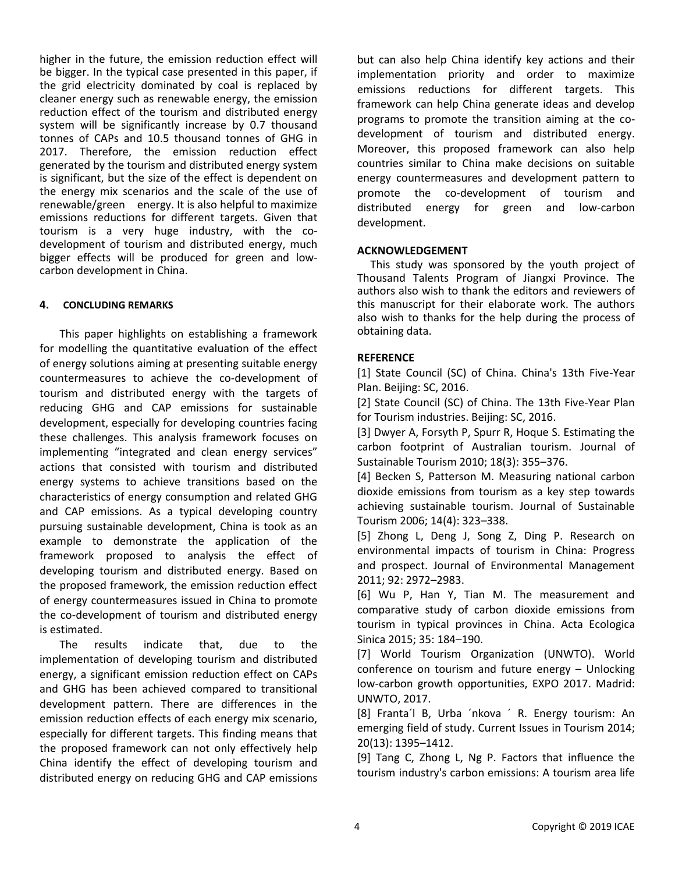higher in the future, the emission reduction effect will be bigger. In the typical case presented in this paper, if the grid electricity dominated by coal is replaced by cleaner energy such as renewable energy, the emission reduction effect of the tourism and distributed energy system will be significantly increase by 0.7 thousand tonnes of CAPs and 10.5 thousand tonnes of GHG in 2017. Therefore, the emission reduction effect generated by the tourism and distributed energy system is significant, but the size of the effect is dependent on the energy mix scenarios and the scale of the use of renewable/green energy. It is also helpful to maximize emissions reductions for different targets. Given that tourism is a very huge industry, with the codevelopment of tourism and distributed energy, much bigger effects will be produced for green and lowcarbon development in China.

# **4. CONCLUDING REMARKS**

This paper highlights on establishing a framework for modelling the quantitative evaluation of the effect of energy solutions aiming at presenting suitable energy countermeasures to achieve the co-development of tourism and distributed energy with the targets of reducing GHG and CAP emissions for sustainable development, especially for developing countries facing these challenges. This analysis framework focuses on implementing "integrated and clean energy services" actions that consisted with tourism and distributed energy systems to achieve transitions based on the characteristics of energy consumption and related GHG and CAP emissions. As a typical developing country pursuing sustainable development, China is took as an example to demonstrate the application of the framework proposed to analysis the effect of developing tourism and distributed energy. Based on the proposed framework, the emission reduction effect of energy countermeasures issued in China to promote the co-development of tourism and distributed energy is estimated.

The results indicate that, due to the implementation of developing tourism and distributed energy, a significant emission reduction effect on CAPs and GHG has been achieved compared to transitional development pattern. There are differences in the emission reduction effects of each energy mix scenario, especially for different targets. This finding means that the proposed framework can not only effectively help China identify the effect of developing tourism and distributed energy on reducing GHG and CAP emissions but can also help China identify key actions and their implementation priority and order to maximize emissions reductions for different targets. This framework can help China generate ideas and develop programs to promote the transition aiming at the codevelopment of tourism and distributed energy. Moreover, this proposed framework can also help countries similar to China make decisions on suitable energy countermeasures and development pattern to promote the co-development of tourism and distributed energy for green and low-carbon development.

# **ACKNOWLEDGEMENT**

This study was sponsored by the youth project of Thousand Talents Program of Jiangxi Province. The authors also wish to thank the editors and reviewers of this manuscript for their elaborate work. The authors also wish to thanks for the help during the process of obtaining data.

# **REFERENCE**

[1] State Council (SC) of China. China's 13th Five-Year Plan. Beijing: SC, 2016.

[2] State Council (SC) of China. The 13th Five-Year Plan for Tourism industries. Beijing: SC, 2016.

[3] Dwyer A, Forsyth P, Spurr R, Hoque S. Estimating the carbon footprint of Australian tourism. Journal of Sustainable Tourism 2010; 18(3): 355–376.

[4] Becken S, Patterson M. Measuring national carbon dioxide emissions from tourism as a key step towards achieving sustainable tourism. Journal of Sustainable Tourism 2006; 14(4): 323–338.

[5] Zhong L, Deng J, Song Z, Ding P. Research on environmental impacts of tourism in China: Progress and prospect. Journal of Environmental Management 2011; 92: 2972–2983.

[6] Wu P, Han Y, Tian M. The measurement and comparative study of carbon dioxide emissions from tourism in typical provinces in China. Acta Ecologica Sinica 2015; 35: 184–190.

[7] World Tourism Organization (UNWTO). World conference on tourism and future energy – Unlocking low-carbon growth opportunities, EXPO 2017. Madrid: UNWTO, 2017.

[8] Franta´l B, Urba ´nkova ´ R. Energy tourism: An emerging field of study. Current Issues in Tourism 2014; 20(13): 1395–1412.

[9] Tang C, Zhong L, Ng P. Factors that influence the tourism industry's carbon emissions: A tourism area life